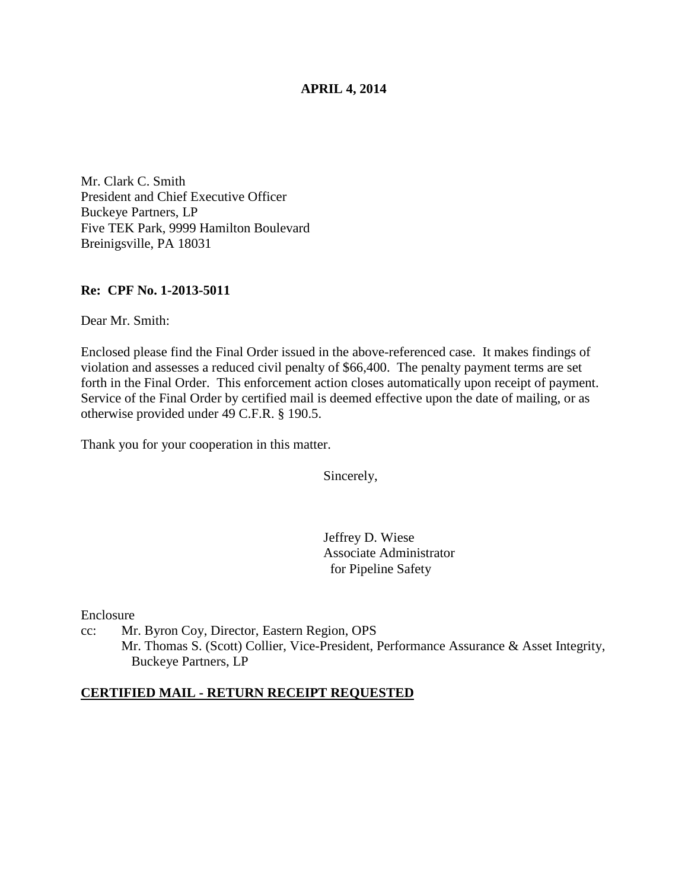### **APRIL 4, 2014**

Mr. Clark C. Smith President and Chief Executive Officer Buckeye Partners, LP Five TEK Park, 9999 Hamilton Boulevard Breinigsville, PA 18031

#### **Re: CPF No. 1-2013-5011**

Dear Mr. Smith:

Enclosed please find the Final Order issued in the above-referenced case. It makes findings of violation and assesses a reduced civil penalty of \$66,400. The penalty payment terms are set forth in the Final Order. This enforcement action closes automatically upon receipt of payment. Service of the Final Order by certified mail is deemed effective upon the date of mailing, or as otherwise provided under 49 C.F.R. § 190.5.

Thank you for your cooperation in this matter.

Sincerely,

Jeffrey D. Wiese Associate Administrator for Pipeline Safety

Enclosure

cc: Mr. Byron Coy, Director, Eastern Region, OPS Mr. Thomas S. (Scott) Collier, Vice-President, Performance Assurance & Asset Integrity, Buckeye Partners, LP

#### **CERTIFIED MAIL - RETURN RECEIPT REQUESTED**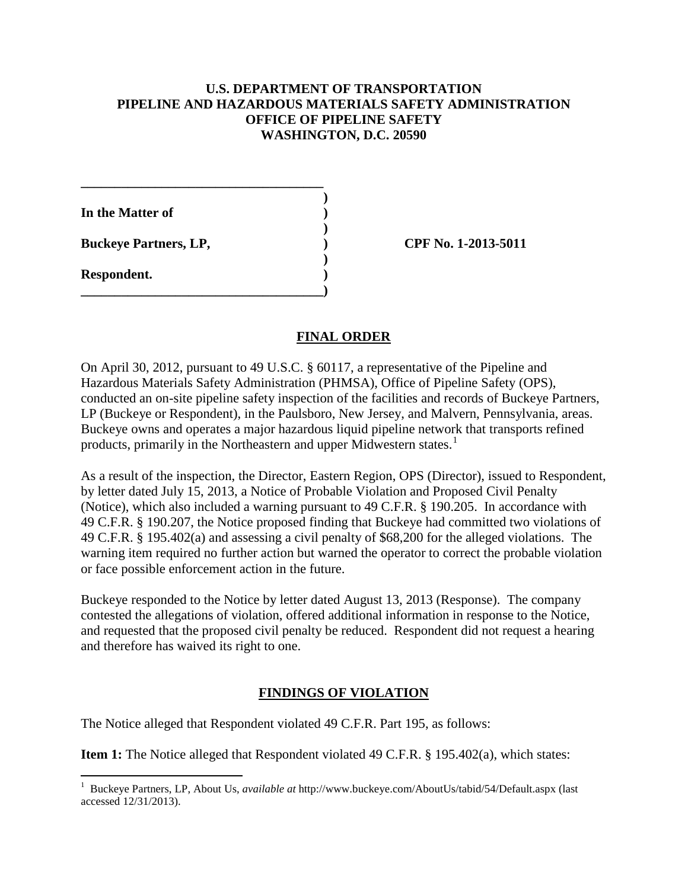### **U.S. DEPARTMENT OF TRANSPORTATION PIPELINE AND HAZARDOUS MATERIALS SAFETY ADMINISTRATION OFFICE OF PIPELINE SAFETY WASHINGTON, D.C. 20590**

**In the Matter of )** 

**Buckeye Partners, LP,**  (2013-5011)

**\_\_\_\_\_\_\_\_\_\_\_\_\_\_\_\_\_\_\_\_\_\_\_\_\_\_\_\_\_\_\_\_\_\_\_\_ )** 

 **)** 

 **)** 

**\_\_\_\_\_\_\_\_\_\_\_\_\_\_\_\_\_\_\_\_\_\_\_\_\_\_\_\_\_\_\_\_\_\_\_\_)** 

**Respondent. )** 

## **FINAL ORDER**

On April 30, 2012, pursuant to 49 U.S.C. § 60117, a representative of the Pipeline and Hazardous Materials Safety Administration (PHMSA), Office of Pipeline Safety (OPS), conducted an on-site pipeline safety inspection of the facilities and records of Buckeye Partners, LP (Buckeye or Respondent), in the Paulsboro, New Jersey, and Malvern, Pennsylvania, areas. Buckeye owns and operates a major hazardous liquid pipeline network that transports refined products, primarily in the Northeastern and upper Midwestern states.<sup>1</sup>

As a result of the inspection, the Director, Eastern Region, OPS (Director), issued to Respondent, by letter dated July 15, 2013, a Notice of Probable Violation and Proposed Civil Penalty (Notice), which also included a warning pursuant to 49 C.F.R. § 190.205. In accordance with 49 C.F.R. § 190.207, the Notice proposed finding that Buckeye had committed two violations of 49 C.F.R. § 195.402(a) and assessing a civil penalty of \$68,200 for the alleged violations. The warning item required no further action but warned the operator to correct the probable violation or face possible enforcement action in the future.

Buckeye responded to the Notice by letter dated August 13, 2013 (Response). The company contested the allegations of violation, offered additional information in response to the Notice, and requested that the proposed civil penalty be reduced. Respondent did not request a hearing and therefore has waived its right to one.

# **FINDINGS OF VIOLATION**

The Notice alleged that Respondent violated 49 C.F.R. Part 195, as follows:

**Item 1:** The Notice alleged that Respondent violated 49 C.F.R. § 195.402(a), which states:

 1 Buckeye Partners, LP, About Us, *available at* http://www.buckeye.com/AboutUs/tabid/54/Default.aspx (last accessed 12/31/2013).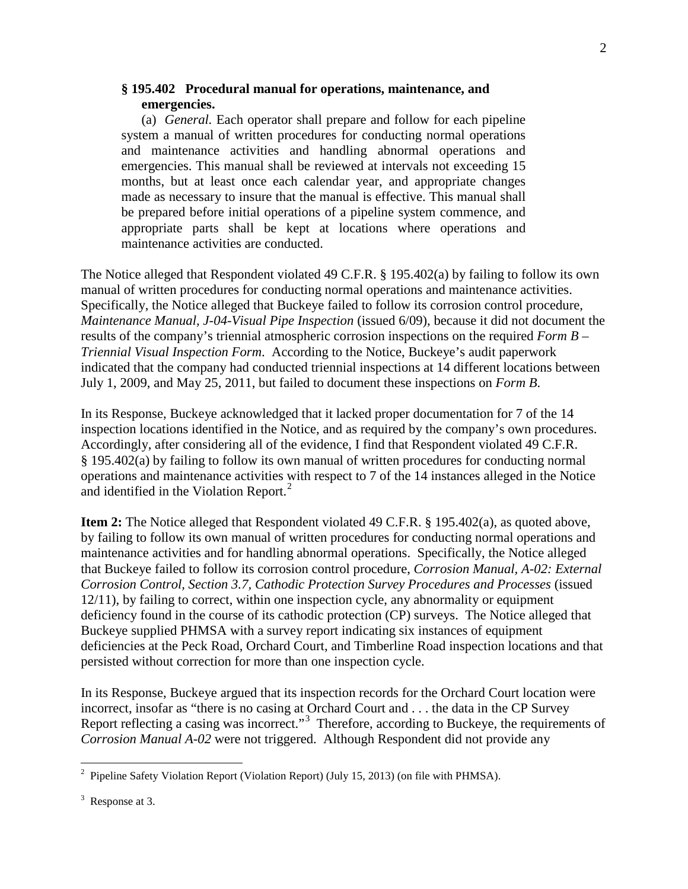#### **§ 195.402 Procedural manual for operations, maintenance, and emergencies.**

(a) *General.* Each operator shall prepare and follow for each pipeline system a manual of written procedures for conducting normal operations and maintenance activities and handling abnormal operations and emergencies. This manual shall be reviewed at intervals not exceeding 15 months, but at least once each calendar year, and appropriate changes made as necessary to insure that the manual is effective. This manual shall be prepared before initial operations of a pipeline system commence, and appropriate parts shall be kept at locations where operations and maintenance activities are conducted.

The Notice alleged that Respondent violated 49 C.F.R. § 195.402(a) by failing to follow its own manual of written procedures for conducting normal operations and maintenance activities. Specifically, the Notice alleged that Buckeye failed to follow its corrosion control procedure, *Maintenance Manual, J-04-Visual Pipe Inspection* (issued 6/09), because it did not document the results of the company's triennial atmospheric corrosion inspections on the required *Form B – Triennial Visual Inspection Form*. According to the Notice, Buckeye's audit paperwork indicated that the company had conducted triennial inspections at 14 different locations between July 1, 2009, and May 25, 2011, but failed to document these inspections on *Form B*.

In its Response, Buckeye acknowledged that it lacked proper documentation for 7 of the 14 inspection locations identified in the Notice, and as required by the company's own procedures. Accordingly, after considering all of the evidence, I find that Respondent violated 49 C.F.R. § 195.402(a) by failing to follow its own manual of written procedures for conducting normal operations and maintenance activities with respect to 7 of the 14 instances alleged in the Notice and identified in the Violation Report.<sup>2</sup>

**Item 2:** The Notice alleged that Respondent violated 49 C.F.R. § 195.402(a), as quoted above, by failing to follow its own manual of written procedures for conducting normal operations and maintenance activities and for handling abnormal operations. Specifically, the Notice alleged that Buckeye failed to follow its corrosion control procedure, *Corrosion Manual, A-02: External Corrosion Control, Section 3.7, Cathodic Protection Survey Procedures and Processes* (issued 12/11), by failing to correct, within one inspection cycle, any abnormality or equipment deficiency found in the course of its cathodic protection (CP) surveys.The Notice alleged that Buckeye supplied PHMSA with a survey report indicating six instances of equipment deficiencies at the Peck Road, Orchard Court, and Timberline Road inspection locations and that persisted without correction for more than one inspection cycle.

In its Response, Buckeye argued that its inspection records for the Orchard Court location were incorrect, insofar as "there is no casing at Orchard Court and . . . the data in the CP Survey Report reflecting a casing was incorrect."<sup>3</sup> Therefore, according to Buckeye, the requirements of *Corrosion Manual A-02* were not triggered. Although Respondent did not provide any

<sup>&</sup>lt;sup>2</sup> Pipeline Safety Violation Report (Violation Report) (July 15, 2013) (on file with PHMSA).

 $3$  Response at 3.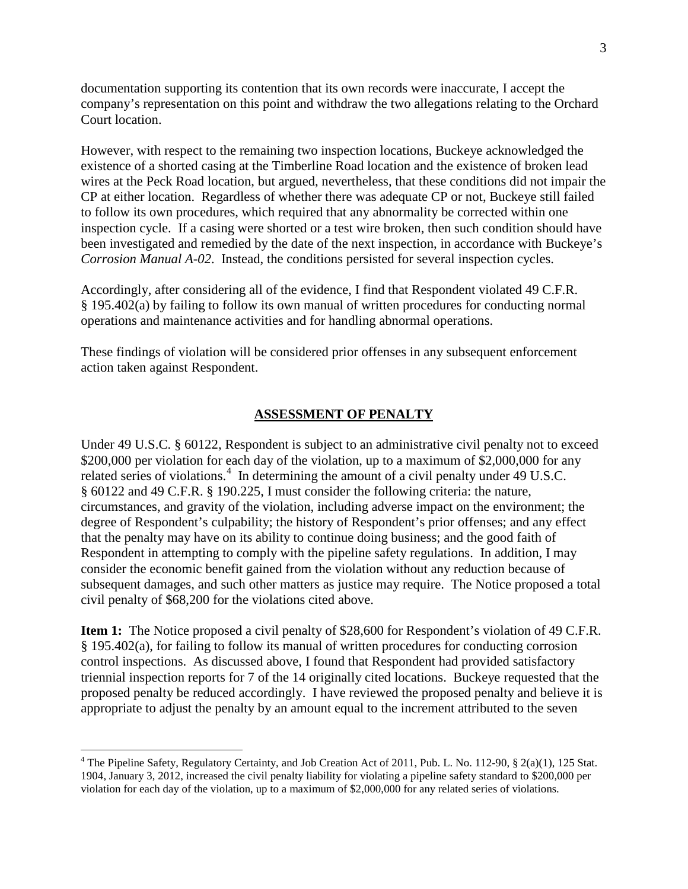documentation supporting its contention that its own records were inaccurate, I accept the company's representation on this point and withdraw the two allegations relating to the Orchard Court location.

However, with respect to the remaining two inspection locations, Buckeye acknowledged the existence of a shorted casing at the Timberline Road location and the existence of broken lead wires at the Peck Road location, but argued, nevertheless, that these conditions did not impair the CP at either location. Regardless of whether there was adequate CP or not, Buckeye still failed to follow its own procedures, which required that any abnormality be corrected within one inspection cycle. If a casing were shorted or a test wire broken, then such condition should have been investigated and remedied by the date of the next inspection, in accordance with Buckeye's *Corrosion Manual A-02*. Instead, the conditions persisted for several inspection cycles.

Accordingly, after considering all of the evidence, I find that Respondent violated 49 C.F.R. § 195.402(a) by failing to follow its own manual of written procedures for conducting normal operations and maintenance activities and for handling abnormal operations.

These findings of violation will be considered prior offenses in any subsequent enforcement action taken against Respondent.

## **ASSESSMENT OF PENALTY**

Under 49 U.S.C. § 60122, Respondent is subject to an administrative civil penalty not to exceed \$200,000 per violation for each day of the violation, up to a maximum of \$2,000,000 for any related series of violations.<sup>4</sup> In determining the amount of a civil penalty under 49 U.S.C. § 60122 and 49 C.F.R. § 190.225, I must consider the following criteria: the nature, circumstances, and gravity of the violation, including adverse impact on the environment; the degree of Respondent's culpability; the history of Respondent's prior offenses; and any effect that the penalty may have on its ability to continue doing business; and the good faith of Respondent in attempting to comply with the pipeline safety regulations. In addition, I may consider the economic benefit gained from the violation without any reduction because of subsequent damages, and such other matters as justice may require. The Notice proposed a total civil penalty of \$68,200 for the violations cited above.

**Item 1:** The Notice proposed a civil penalty of \$28,600 for Respondent's violation of 49 C.F.R. § 195.402(a), for failing to follow its manual of written procedures for conducting corrosion control inspections. As discussed above, I found that Respondent had provided satisfactory triennial inspection reports for 7 of the 14 originally cited locations. Buckeye requested that the proposed penalty be reduced accordingly. I have reviewed the proposed penalty and believe it is appropriate to adjust the penalty by an amount equal to the increment attributed to the seven

 $\overline{a}$ 

<sup>4</sup> The Pipeline Safety, Regulatory Certainty, and Job Creation Act of 2011, Pub. L. No. 112-90, § 2(a)(1), 125 Stat. 1904, January 3, 2012, increased the civil penalty liability for violating a pipeline safety standard to \$200,000 per violation for each day of the violation, up to a maximum of \$2,000,000 for any related series of violations.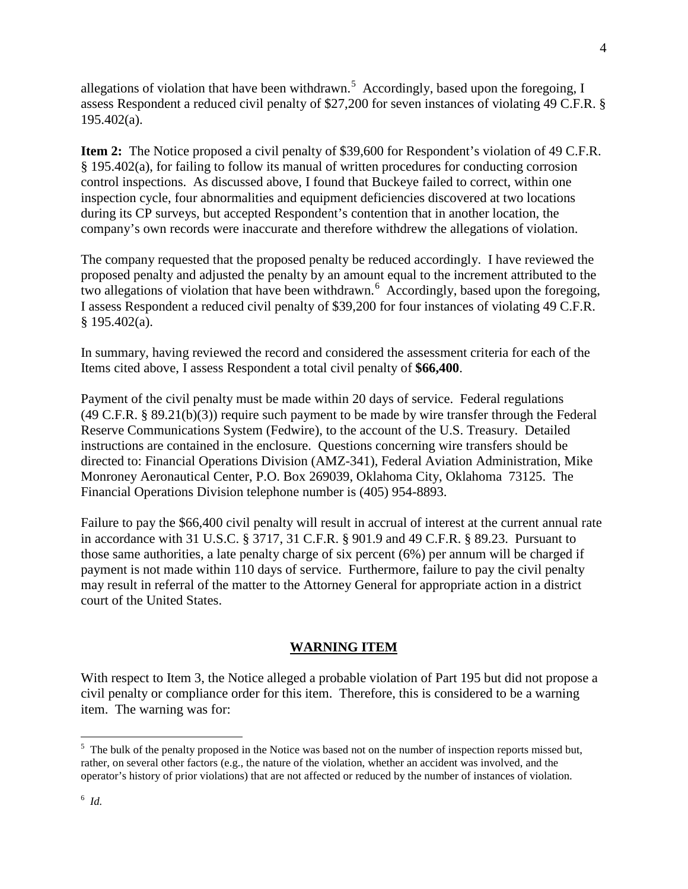allegations of violation that have been withdrawn.<sup>5</sup> Accordingly, based upon the foregoing, I assess Respondent a reduced civil penalty of \$27,200 for seven instances of violating 49 C.F.R. §  $195.402(a)$ .

**Item 2:** The Notice proposed a civil penalty of \$39,600 for Respondent's violation of 49 C.F.R. § 195.402(a), for failing to follow its manual of written procedures for conducting corrosion control inspections. As discussed above, I found that Buckeye failed to correct, within one inspection cycle, four abnormalities and equipment deficiencies discovered at two locations during its CP surveys, but accepted Respondent's contention that in another location, the company's own records were inaccurate and therefore withdrew the allegations of violation.

The company requested that the proposed penalty be reduced accordingly. I have reviewed the proposed penalty and adjusted the penalty by an amount equal to the increment attributed to the two allegations of violation that have been withdrawn.<sup>6</sup> Accordingly, based upon the foregoing, I assess Respondent a reduced civil penalty of \$39,200 for four instances of violating 49 C.F.R. § 195.402(a).

In summary, having reviewed the record and considered the assessment criteria for each of the Items cited above, I assess Respondent a total civil penalty of **\$66,400**.

Payment of the civil penalty must be made within 20 days of service. Federal regulations (49 C.F.R. § 89.21(b)(3)) require such payment to be made by wire transfer through the Federal Reserve Communications System (Fedwire), to the account of the U.S. Treasury. Detailed instructions are contained in the enclosure. Questions concerning wire transfers should be directed to: Financial Operations Division (AMZ-341), Federal Aviation Administration, Mike Monroney Aeronautical Center, P.O. Box 269039, Oklahoma City, Oklahoma 73125. The Financial Operations Division telephone number is (405) 954-8893.

Failure to pay the \$66,400 civil penalty will result in accrual of interest at the current annual rate in accordance with 31 U.S.C. § 3717, 31 C.F.R. § 901.9 and 49 C.F.R. § 89.23. Pursuant to those same authorities, a late penalty charge of six percent (6%) per annum will be charged if payment is not made within 110 days of service. Furthermore, failure to pay the civil penalty may result in referral of the matter to the Attorney General for appropriate action in a district court of the United States.

# **WARNING ITEM**

With respect to Item 3, the Notice alleged a probable violation of Part 195 but did not propose a civil penalty or compliance order for this item. Therefore, this is considered to be a warning item. The warning was for:

<sup>&</sup>lt;sup>5</sup> The bulk of the penalty proposed in the Notice was based not on the number of inspection reports missed but, rather, on several other factors (e.g., the nature of the violation, whether an accident was involved, and the operator's history of prior violations) that are not affected or reduced by the number of instances of violation.